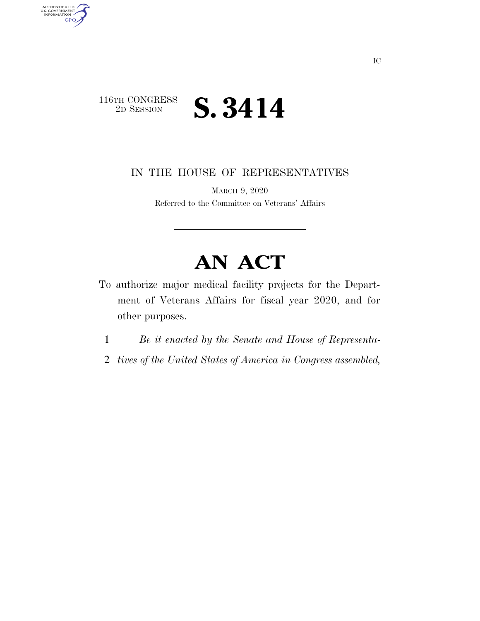

AUTHENTICATED<br>U.S. GOVERNMENT<br>INFORMATION

**GPO** 

IN THE HOUSE OF REPRESENTATIVES

MARCH 9, 2020 Referred to the Committee on Veterans' Affairs

## **AN ACT**

- To authorize major medical facility projects for the Department of Veterans Affairs for fiscal year 2020, and for other purposes.
	- 1 *Be it enacted by the Senate and House of Representa-*
	- 2 *tives of the United States of America in Congress assembled,*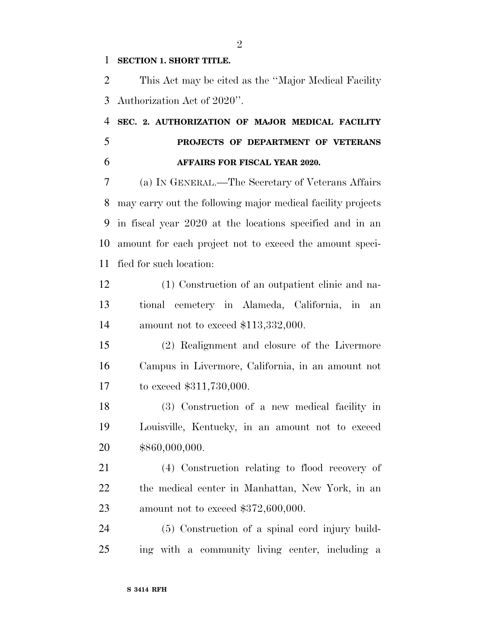## **SECTION 1. SHORT TITLE.**

 This Act may be cited as the ''Major Medical Facility Authorization Act of 2020''.

 **SEC. 2. AUTHORIZATION OF MAJOR MEDICAL FACILITY PROJECTS OF DEPARTMENT OF VETERANS AFFAIRS FOR FISCAL YEAR 2020.** 

 (a) IN GENERAL.—The Secretary of Veterans Affairs may carry out the following major medical facility projects in fiscal year 2020 at the locations specified and in an amount for each project not to exceed the amount speci-fied for such location:

 (1) Construction of an outpatient clinic and na- tional cemetery in Alameda, California, in an amount not to exceed \$113,332,000.

 (2) Realignment and closure of the Livermore Campus in Livermore, California, in an amount not to exceed \$311,730,000.

 (3) Construction of a new medical facility in Louisville, Kentucky, in an amount not to exceed \$860,000,000.

 (4) Construction relating to flood recovery of the medical center in Manhattan, New York, in an amount not to exceed \$372,600,000.

 (5) Construction of a spinal cord injury build-ing with a community living center, including a